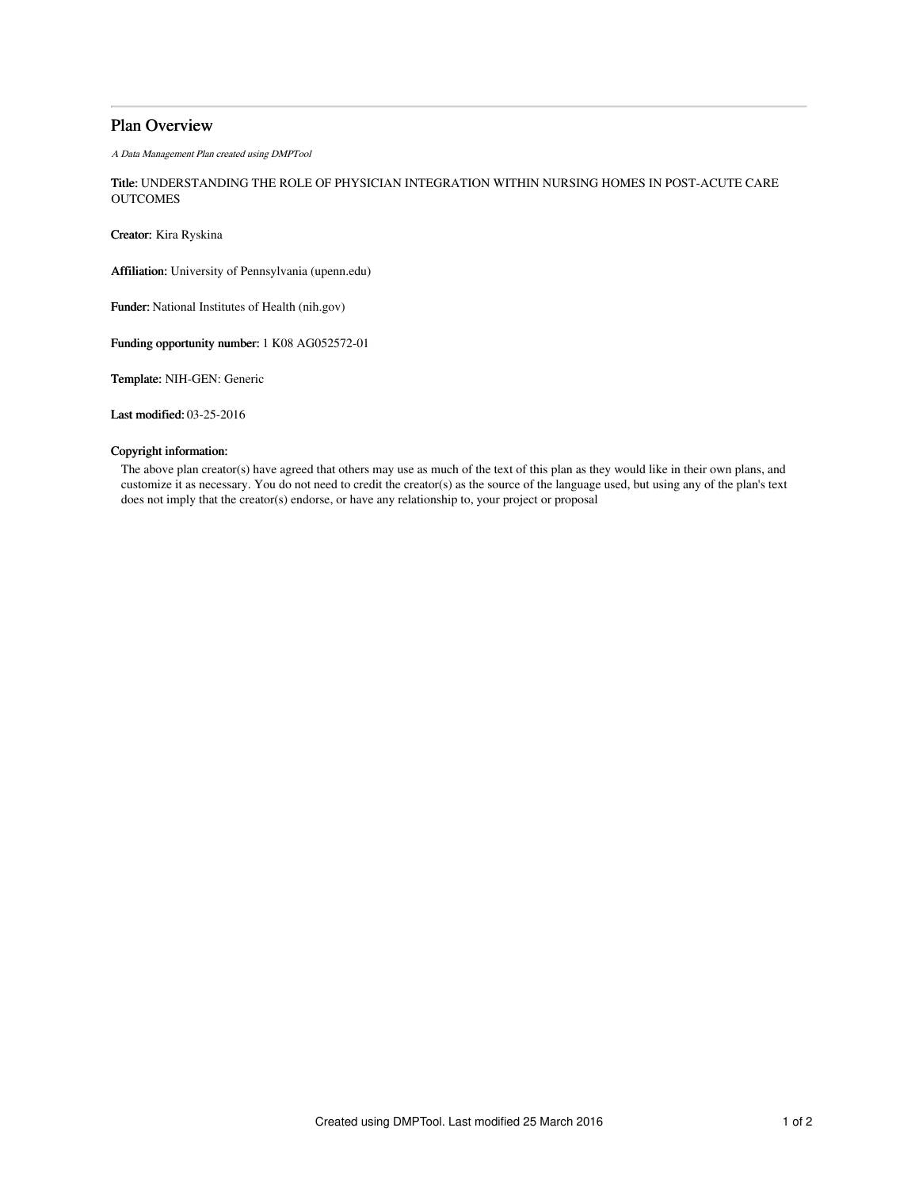## Plan Overview

A Data Management Plan created using DMPTool

Title: UNDERSTANDING THE ROLE OF PHYSICIAN INTEGRATION WITHIN NURSING HOMES IN POST-ACUTE CARE **OUTCOMES** 

Creator: Kira Ryskina

Affiliation: University of Pennsylvania (upenn.edu)

Funder: National Institutes of Health (nih.gov)

Funding opportunity number: 1 K08 AG052572-01

Template: NIH-GEN: Generic

Last modified: 03-25-2016

### Copyright information:

The above plan creator(s) have agreed that others may use as much of the text of this plan as they would like in their own plans, and customize it as necessary. You do not need to credit the creator(s) as the source of the language used, but using any of the plan's text does not imply that the creator(s) endorse, or have any relationship to, your project or proposal